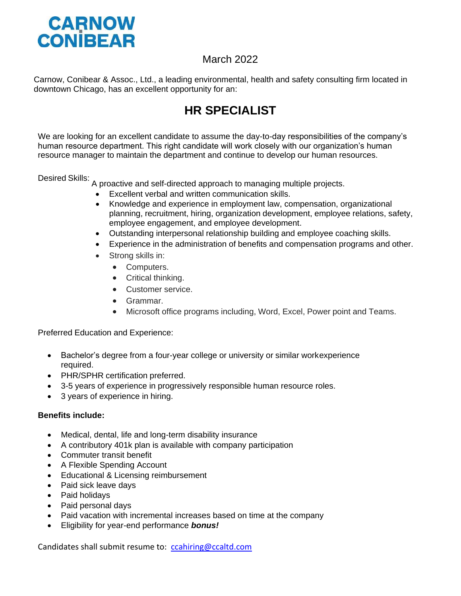

## March 2022

Carnow, Conibear & Assoc., Ltd., a leading environmental, health and safety consulting firm located in downtown Chicago, has an excellent opportunity for an:

## **HR SPECIALIST**

We are looking for an excellent candidate to assume the day-to-day responsibilities of the company's human resource department. This right candidate will work closely with our organization's human resource manager to maintain the department and continue to develop our human resources.

Desired Skills: <sup>A</sup> proactive and self-directed approach to managing multiple projects.

- Excellent verbal and written communication skills.
- Knowledge and experience in employment law, compensation, organizational planning, recruitment, hiring, organization development, employee relations, safety, employee [engagement,](https://www.thebalancecareers.com/prevent-employee-disengagement-1917573) and employee [development.](https://www.thebalancecareers.com/steps-to-create-a-career-development-plan-1917798)
- Outstanding interpersonal relationship building and [employee](https://www.thebalancecareers.com/use-coaching-to-improve-employee-performance-1918083) coaching skills.
- Experience in the administration of benefits and compensation programs and other.
- Strong skills in:
	- Computers.
	- Critical thinking.
	- Customer service.
	- Grammar.
	- Microsoft office programs including, Word, Excel, Power point and Teams.

Preferred Education and Experience:

- Bachelor's degree from a four-year college or university or similar workexperience required.
- PHR/SPHR certification preferred.
- 3-5 years of experience in progressively responsible human resource roles.
- 3 years of experience in hiring.

## **Benefits include:**

- Medical, dental, life and long-term disability insurance
- A contributory 401k plan is available with company participation
- Commuter transit benefit
- A Flexible Spending Account
- Educational & Licensing reimbursement
- Paid sick leave days
- Paid holidays
- Paid personal days
- Paid vacation with incremental increases based on time at the company
- Eligibility for year-end performance *bonus!*

Candidates shall submit resume to: [ccahiring@ccaltd.com](mailto:ccahiring@ccaltd.com)